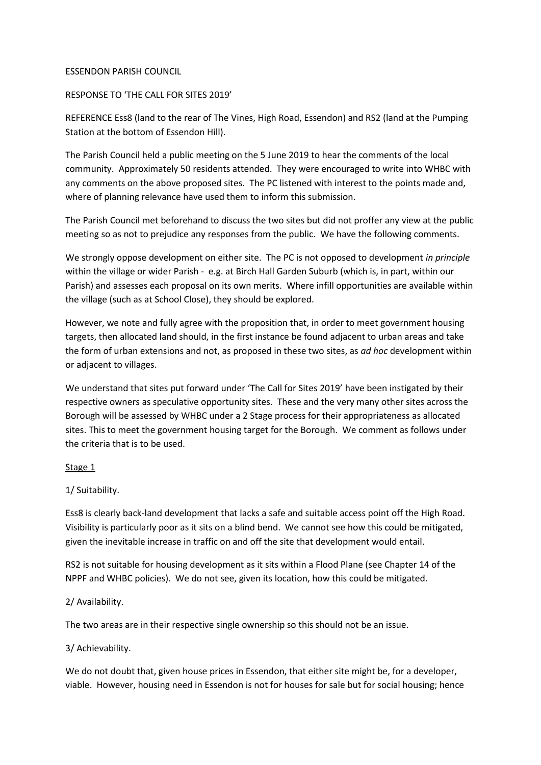### ESSENDON PARISH COUNCIL

# RESPONSE TO 'THE CALL FOR SITES 2019'

REFERENCE Ess8 (land to the rear of The Vines, High Road, Essendon) and RS2 (land at the Pumping Station at the bottom of Essendon Hill).

The Parish Council held a public meeting on the 5 June 2019 to hear the comments of the local community. Approximately 50 residents attended. They were encouraged to write into WHBC with any comments on the above proposed sites. The PC listened with interest to the points made and, where of planning relevance have used them to inform this submission.

The Parish Council met beforehand to discuss the two sites but did not proffer any view at the public meeting so as not to prejudice any responses from the public. We have the following comments.

We strongly oppose development on either site. The PC is not opposed to development *in principle* within the village or wider Parish - e.g. at Birch Hall Garden Suburb (which is, in part, within our Parish) and assesses each proposal on its own merits. Where infill opportunities are available within the village (such as at School Close), they should be explored.

However, we note and fully agree with the proposition that, in order to meet government housing targets, then allocated land should, in the first instance be found adjacent to urban areas and take the form of urban extensions and not, as proposed in these two sites, as *ad hoc* development within or adjacent to villages.

We understand that sites put forward under 'The Call for Sites 2019' have been instigated by their respective owners as speculative opportunity sites. These and the very many other sites across the Borough will be assessed by WHBC under a 2 Stage process for their appropriateness as allocated sites. This to meet the government housing target for the Borough. We comment as follows under the criteria that is to be used.

# Stage 1

# 1/ Suitability.

Ess8 is clearly back-land development that lacks a safe and suitable access point off the High Road. Visibility is particularly poor as it sits on a blind bend. We cannot see how this could be mitigated, given the inevitable increase in traffic on and off the site that development would entail.

RS2 is not suitable for housing development as it sits within a Flood Plane (see Chapter 14 of the NPPF and WHBC policies). We do not see, given its location, how this could be mitigated.

# 2/ Availability.

The two areas are in their respective single ownership so this should not be an issue.

# 3/ Achievability.

We do not doubt that, given house prices in Essendon, that either site might be, for a developer, viable. However, housing need in Essendon is not for houses for sale but for social housing; hence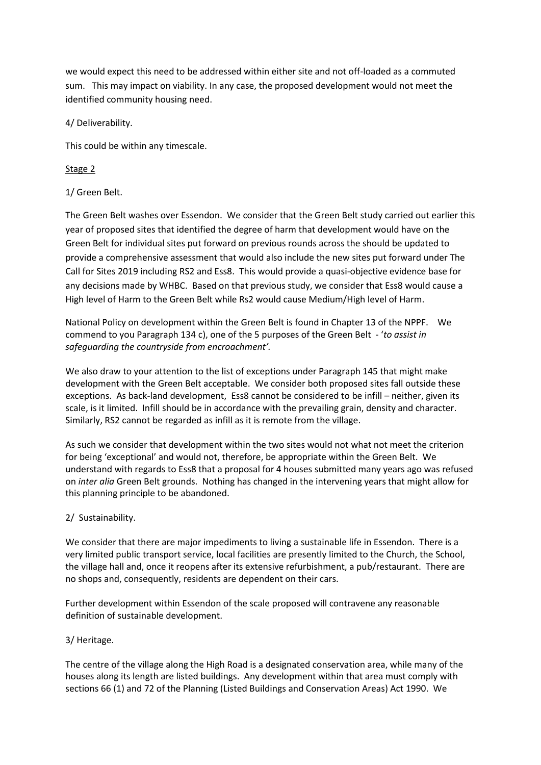we would expect this need to be addressed within either site and not off-loaded as a commuted sum. This may impact on viability. In any case, the proposed development would not meet the identified community housing need.

4/ Deliverability.

This could be within any timescale.

Stage 2

1/ Green Belt.

The Green Belt washes over Essendon. We consider that the Green Belt study carried out earlier this year of proposed sites that identified the degree of harm that development would have on the Green Belt for individual sites put forward on previous rounds across the should be updated to provide a comprehensive assessment that would also include the new sites put forward under The Call for Sites 2019 including RS2 and Ess8. This would provide a quasi-objective evidence base for any decisions made by WHBC. Based on that previous study, we consider that Ess8 would cause a High level of Harm to the Green Belt while Rs2 would cause Medium/High level of Harm.

National Policy on development within the Green Belt is found in Chapter 13 of the NPPF. We commend to you Paragraph 134 c), one of the 5 purposes of the Green Belt - '*to assist in safeguarding the countryside from encroachment'.*

We also draw to your attention to the list of exceptions under Paragraph 145 that might make development with the Green Belt acceptable. We consider both proposed sites fall outside these exceptions. As back-land development, Ess8 cannot be considered to be infill – neither, given its scale, is it limited. Infill should be in accordance with the prevailing grain, density and character. Similarly, RS2 cannot be regarded as infill as it is remote from the village.

As such we consider that development within the two sites would not what not meet the criterion for being 'exceptional' and would not, therefore, be appropriate within the Green Belt. We understand with regards to Ess8 that a proposal for 4 houses submitted many years ago was refused on *inter alia* Green Belt grounds. Nothing has changed in the intervening years that might allow for this planning principle to be abandoned.

2/ Sustainability.

We consider that there are major impediments to living a sustainable life in Essendon. There is a very limited public transport service, local facilities are presently limited to the Church, the School, the village hall and, once it reopens after its extensive refurbishment, a pub/restaurant. There are no shops and, consequently, residents are dependent on their cars.

Further development within Essendon of the scale proposed will contravene any reasonable definition of sustainable development.

3/ Heritage.

The centre of the village along the High Road is a designated conservation area, while many of the houses along its length are listed buildings. Any development within that area must comply with sections 66 (1) and 72 of the Planning (Listed Buildings and Conservation Areas) Act 1990. We